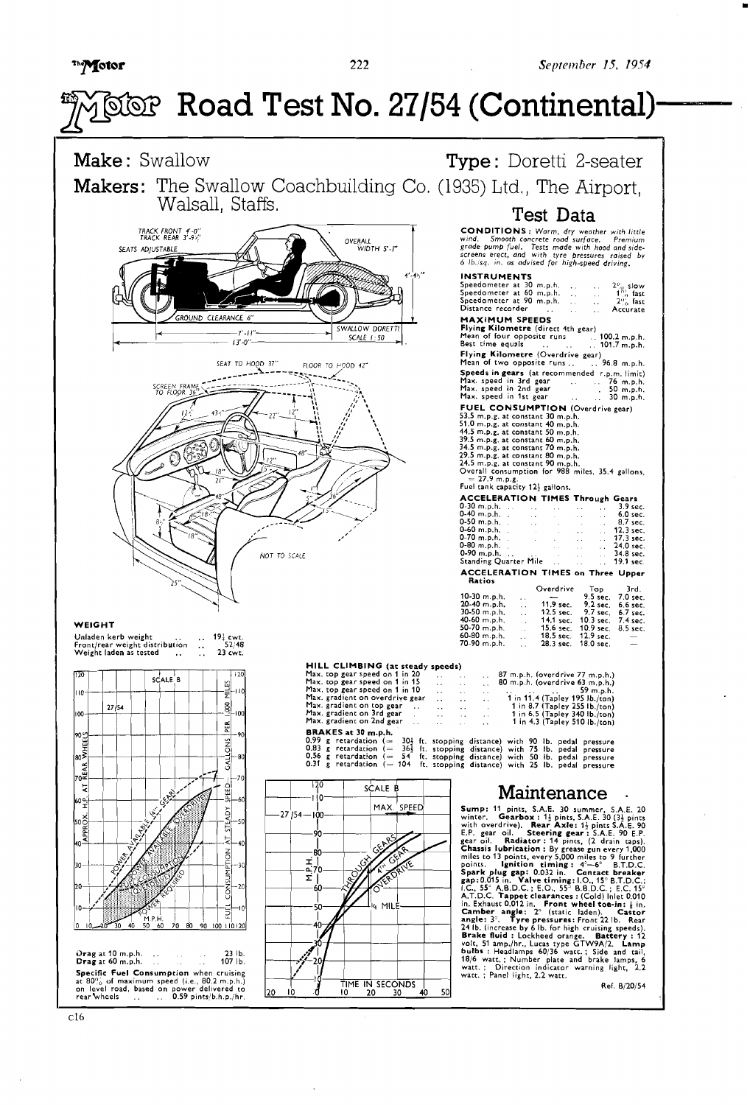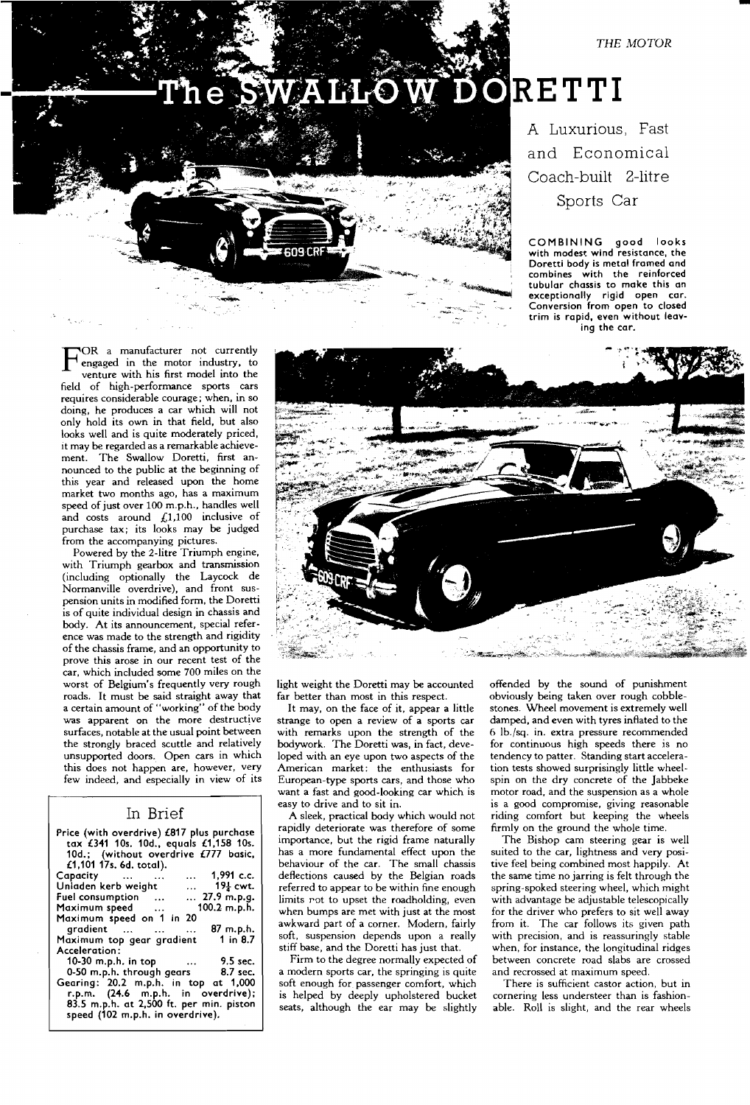*THE MOTOR* 



# A Luxurious, Fast and Economical Coach-built 2-litre Sports Car

**COMBINING good looks with modest wind resistance, the Doretti body is metal framed and combines with the reinforced tubular chassis to make this on exceptionally rigid open car. Conversion from open to closed trim is rapid, even without leaving the car.** 

'OR a manufacturer not currently<br>engaged in the motor industry, to venture with his first model into the field of high-performance sports cars requires considerable courage; when, in so doing, he produces a car which will not only hold its own in that field, but also looks well and is quite moderately priced, it may be regarded as a remarkable achieve-<br>ment. The Swallow Doretti, first an-The Swallow Doretti, first announced to the public at the beginning of this year and released upon the home market two months ago, has a maximum speed of just over **100** m.p.h.. handles well and costs around **L1,100** inclusive of purchase tax; its looks may be judged from the accompanying pictures.

Powered by the 2-litre Triumph engine, with Triumph gearbox and transmission (including optionally the Laycock de Normanville overdrive), and front suspension units in modified form, the Doretti is of quite individual design in chassis and body. At its announcement, special reference was made to the strength and rigidity of the chassis frame, and an opportunity to prove this arose in our recent test of the car, which included some **700** miles on the worst of Belgium's frequently very rough roads. It must be said straight away that a certain amount of "working" of the body was apparent **on** the more destructive surfaces, notable at the usual point between the strongly braced scuttle and relatively unsupported doors. Open cars in which this does not happen are, however, very few indeed, and especially in view of its

## In Brief

| Price (with overdrive) £817 plus purchase<br>tax £341 10s. 10d., equals £1,158 10s.<br>10d.; (without overdrive £777 basic,<br>£1,101 17s. 6d. total). |
|--------------------------------------------------------------------------------------------------------------------------------------------------------|
| $\ldots$ 1,991 c.c.<br>Capacity                                                                                                                        |
| $19\frac{1}{4}$ cwt.<br>Unladen kerb weight                                                                                                            |
| $\dots$ 27.9 m.p.g.<br>Fuel consumption                                                                                                                |
| $100.2$ m.p.h.<br>Maximum speed                                                                                                                        |
| Maximum speed on 1 in 20                                                                                                                               |
| gradient<br>87 m.p.h.                                                                                                                                  |
| Maximum top gear gradient 1 in 8.7                                                                                                                     |
| Acceleration:                                                                                                                                          |
| 10-30 m.p.h. in top<br>$\ldots$ 9.5 sec.                                                                                                               |
| 0-50 m.p.h. through gears 8.7 sec.                                                                                                                     |
| Gearing: 20.2 m.p.h. in top at 1,000                                                                                                                   |
| r.p.m. (24.6 m.p.h. in overdrive);                                                                                                                     |

**83.5 m.p.h. at 2,500 ft. per min. piston speed (102 m.p.h. in overdrive).** 



light weight the Doretti may be accounted far better than most in this respect.

It may, on the face of it, appear a little strange to open a review of a sports car with remarks upon the strength of the bodywork. The Doretti was, in fact, developed with an eye upon two aspects of the American market: the enthusiasts for European-type sports cars, and those who want a fast and good-looking car which is easy to drive and to sit in.

A sleek, practical body which would not rapidly deteriorate was therefore of some importance, but the rigid frame naturally has a more fundamental effect upon the behaviour of the car. The small chassis deflections caused by the Belgian roads referred to appear to be within fine enough limits rot to upset the roadholding, even when bumps are met with just at the most awkward part of a corner. Modern, fairly soft, suspension depends upon a really stiff base, and the Doretti has just that.

Firm to the degree normally expected of a modern sports car, the springing is quite soft enough for passenger comfort, which is helped by deeply upholstered bucket seats, although the ear may be slightly

offended by the sound of punishment obviously being taken over rough cobblestones. Wheel movement is extremely well damped, and even with tyres inflated to the 6 Ib./sq. in. extra pressure recommended for continuous high speeds there is no tendency to patter. Standing start acceleration tests showed surprisingly little wheelspin on the dry concrete of the Jabbeke motor road, and the suspension as a whole is a good compromise, giving reasonable riding comfort but keeping the wheels firmly on the ground the whole time.

The Bishop cam steering gear is well suited to the car, lightness and very positive feel being combined most happily. At the same time no jarring is felt through the spring-spoked steering wheel, which might with advantage be adjustable telescopically for the driver who prefers to sit well away from it. The car follows its given path with precision, and is reassuringly stable when, for instance, the longitudinal ridges between concrete road slabs are crossed and recrossed at maximum speed.

There is sufficient castor action, but in cornering less understeer than is fashionable. Roll is slight, and the rear wheels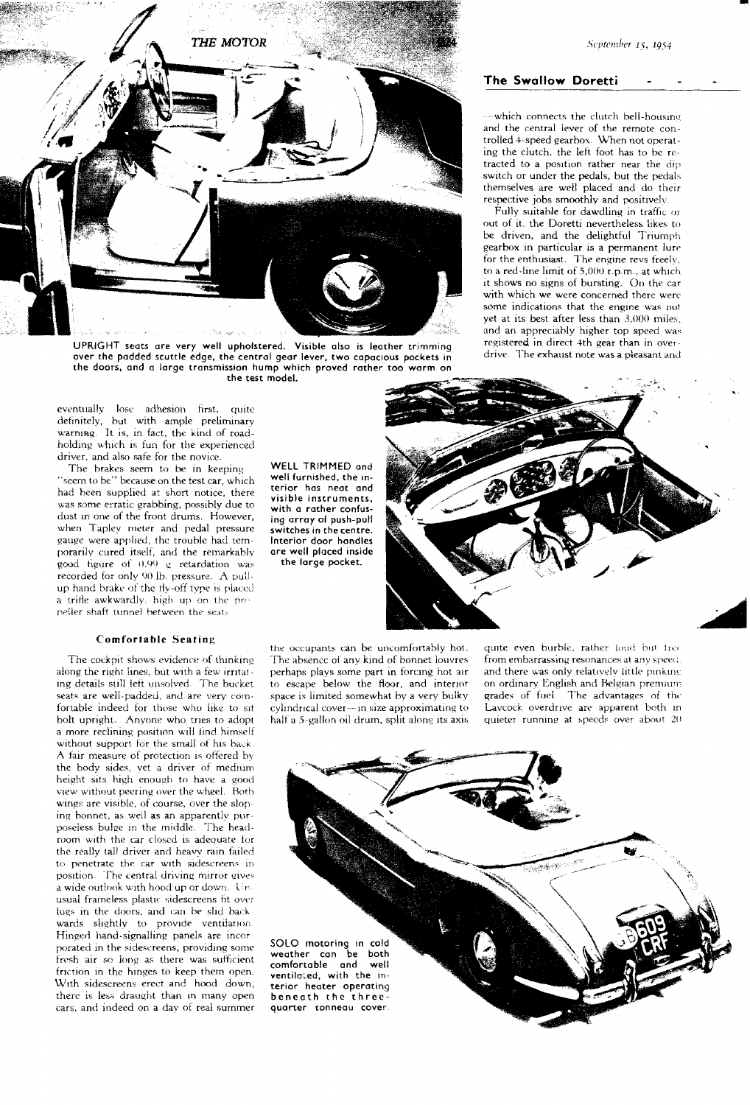

 $UPRIGHT sets are very well upholstered. Visible also is leather trimming  
\nover the padded scuttle edge, the central gear lever two capacious pockets in  
\nover the padded scuttle edge, the central gear lever two capacious pockets in$ over the padded scuttle edge, the central gear lever, two capacious pockets in the doors, and a large transmission hump which proved rather too warm on the test model.

eventually lose adhesion first, quite definitely, but with ample preliminary warning. It is, in fact, the kind of roadholding which is fun for the experienced driver, and also safe for the novice.

The brakes seem to be in keeping "seem to be" because on the test car, which had been supplied at short notice, there was some erratic grabbing, possibly due to dust In one of the front drums. However, when Tapley meter and pedal pressure gauge were applied, the trouble had temporarilv cured itself; and the remarkably good figure of  $0.99$  g retardation was recorded for only 90 lb. pressure. A pullup hand brake of the fly-off type is placed a trifle awkwardly, high up on the propeller shaft tunnel between the seats

#### **Comfortable Seating**

The cockpit shows evidence of thinking along the right lines, but with a few irritating details still left unsolved. The bucket seats are well-padded, and are very comfortable indeed for those who like to sit bolt upright. Anvone who tries to adopt a more reclining position will find himself without support for the small of his back. A fair measure of protection is offered by the body sides, vet a driver of medium height sits high enough to have a good view without peering over the wheel. Both wings are visible, of course, over the slop ing bonnet, as well as an apparently purposeless bulge in the middle. The headroom with the car closed is adequate for the really tall driver and heavy rain failed to penetrate the car with sidescreens in position. The central driving mirror gives a wide outlook with hood up or down. Unusual frameless plastic sidescreens fit over lugs in the doors, and can be slid backwards slightly to provide ventilation. Hinged hand-signalling panels are incorporated in the sidescreens, providing some fresh air so long as there was sufficient friction in the hinges to keep them open. With sidescreens ercct and hood down, there is less draught than in many open cars, and indeed on a day of real summer

WELL TRIMMED and well furnished, the interior has neat and visible instruments, with a rather confusing array of push-pull switches in the centre. Interior door handles are well placed inside the large pocket.

the occupants can be uncomfortably hot. quite even burble, rather loud but free The absence of any kind of bonnet louvres from embarrassing resonances at any speed. The absence of any kind of bonnet loweres half a 5-gallon oil drum, split along its axis

perhaps plays some part in forcing hot air and there was only relatively little pinking<br>to escape below the floor, and interior on ordinary English and Belgian premium to escape below the floor, and interior on ordinary English and Belgian premium space is limited somewhat by a very bulky grades of fuel. The advantages of the space is limited somewhat by a very bulky grades of fuel. The advantages of the cylindrical cover—in size approximating to Lavcock overdrive are apparent both in cylindrical cover---in size approximating to  $\equiv$  Lavcock overdrive are apparent both in half a 5-gallon oil drum, split along its axis a quieter running at speeds over about 20

SOLO motoring in cold weather can be both comfortable and well ventilcied, with the interior heater operating beneath the threequarter tonneau cov

### **The Swallow Doretti** -

--which connects the clutch bell-housing and the central iever of the remote controlled 4-speed gearbox. When not operating the clutch, the left foot has to be retracted to a position rather near the dip switch or under the pedals, but the pedals themselves are weil placed and do their respective jobs smoothly and positively.

Fully suitable for dawdling in traffic or out of it. the Doretti nevertheless likes to be driven, and the delightful Triumph gearbox in particular is a permanent lure for the enthusiast. The engine revs freely, to a red-line limit of 5,000 r.p.m., at which it shows no siqns of bursting. On the car with which we were concerned there were some indications that the engine was not vet at its best after less than  $3,000$  miles. and an appreciably higher top speed was registered in direct 4th gear than in over-